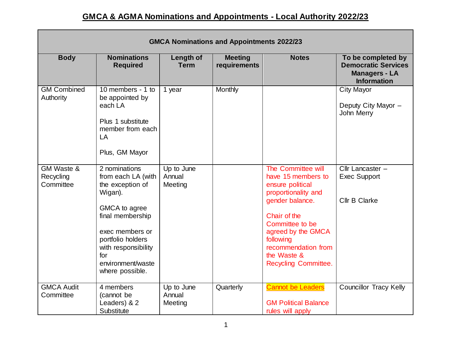## **GMCA & AGMA Nominations and Appointments - Local Authority 2022/23**

| <b>GMCA Nominations and Appointments 2022/23</b> |                                                                                                                                                                                                                       |                                 |                                |                                                                                                                                                                                                                                            |                                                                                                |  |  |
|--------------------------------------------------|-----------------------------------------------------------------------------------------------------------------------------------------------------------------------------------------------------------------------|---------------------------------|--------------------------------|--------------------------------------------------------------------------------------------------------------------------------------------------------------------------------------------------------------------------------------------|------------------------------------------------------------------------------------------------|--|--|
| <b>Body</b>                                      | <b>Nominations</b><br><b>Required</b>                                                                                                                                                                                 | <b>Length of</b><br><b>Term</b> | <b>Meeting</b><br>requirements | <b>Notes</b>                                                                                                                                                                                                                               | To be completed by<br><b>Democratic Services</b><br><b>Managers - LA</b><br><b>Information</b> |  |  |
| <b>GM Combined</b><br>Authority                  | 10 members - 1 to<br>be appointed by<br>each LA<br>Plus 1 substitute<br>member from each<br>LA<br>Plus, GM Mayor                                                                                                      | 1 year                          | Monthly                        |                                                                                                                                                                                                                                            | <b>City Mayor</b><br>Deputy City Mayor -<br>John Merry                                         |  |  |
| GM Waste &<br>Recycling<br>Committee             | 2 nominations<br>from each LA (with<br>the exception of<br>Wigan).<br>GMCA to agree<br>final membership<br>exec members or<br>portfolio holders<br>with responsibility<br>for<br>environment/waste<br>where possible. | Up to June<br>Annual<br>Meeting |                                | The Committee will<br>have 15 members to<br>ensure political<br>proportionality and<br>gender balance.<br>Chair of the<br>Committee to be<br>agreed by the GMCA<br>following<br>recommendation from<br>the Waste &<br>Recycling Committee. | Cllr Lancaster -<br><b>Exec Support</b><br><b>Cllr B Clarke</b>                                |  |  |
| <b>GMCA Audit</b><br>Committee                   | 4 members<br>(cannot be<br>Leaders) & 2<br>Substitute                                                                                                                                                                 | Up to June<br>Annual<br>Meeting | Quarterly                      | <b>Cannot be Leaders</b><br><b>GM Political Balance</b><br>rules will apply                                                                                                                                                                | <b>Councillor Tracy Kelly</b>                                                                  |  |  |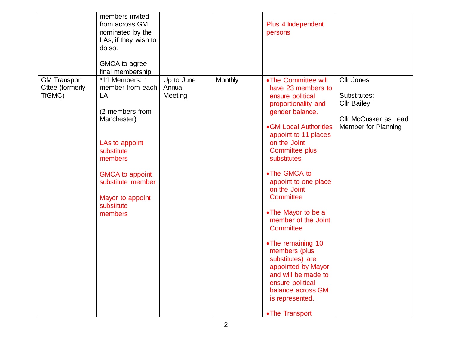|                                                  | members invited<br>from across GM<br>nominated by the<br>LAs, if they wish to<br>do so.<br>GMCA to agree<br>final membership                                                                                      |                                 |         | Plus 4 Independent<br>persons                                                                                                                                                                                                                                                                                                                                                                                                                                                                                                             |                                                                                                  |
|--------------------------------------------------|-------------------------------------------------------------------------------------------------------------------------------------------------------------------------------------------------------------------|---------------------------------|---------|-------------------------------------------------------------------------------------------------------------------------------------------------------------------------------------------------------------------------------------------------------------------------------------------------------------------------------------------------------------------------------------------------------------------------------------------------------------------------------------------------------------------------------------------|--------------------------------------------------------------------------------------------------|
| <b>GM Transport</b><br>Cttee (formerly<br>TfGMC) | *11 Members: 1<br>member from each<br>LA<br>(2 members from<br>Manchester)<br>LAs to appoint<br>substitute<br>members<br><b>GMCA to appoint</b><br>substitute member<br>Mayor to appoint<br>substitute<br>members | Up to June<br>Annual<br>Meeting | Monthly | • The Committee will<br>have 23 members to<br>ensure political<br>proportionality and<br>gender balance.<br>• GM Local Authorities<br>appoint to 11 places<br>on the Joint<br><b>Committee plus</b><br>substitutes<br>•The GMCA to<br>appoint to one place<br>on the Joint<br>Committee<br>• The Mayor to be a<br>member of the Joint<br>Committee<br>• The remaining 10<br>members (plus<br>substitutes) are<br>appointed by Mayor<br>and will be made to<br>ensure political<br>balance across GM<br>is represented.<br>• The Transport | Cllr Jones<br>Substitutes:<br><b>Cllr Bailey</b><br>Cllr McCusker as Lead<br>Member for Planning |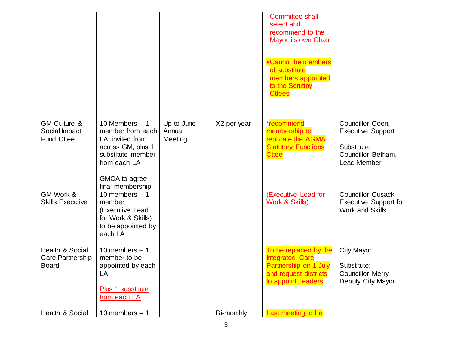|                                                               |                                                                                                                                                       |                                 |             | <b>Committee shall</b><br>select and<br>recommend to the<br>Mayor its own Chair<br>•Cannot be members<br>of substitute<br>members appointed<br>to the Scrutiny<br><b>Cttees</b> |                                                                                                         |
|---------------------------------------------------------------|-------------------------------------------------------------------------------------------------------------------------------------------------------|---------------------------------|-------------|---------------------------------------------------------------------------------------------------------------------------------------------------------------------------------|---------------------------------------------------------------------------------------------------------|
| <b>GM Culture &amp;</b><br>Social Impact<br><b>Fund Cttee</b> | 10 Members - 1<br>member from each<br>LA, invited from<br>across GM, plus 1<br>substitute member<br>from each LA<br>GMCA to agree<br>final membership | Up to June<br>Annual<br>Meeting | X2 per year | *recommend<br>membership to<br>replicate the AGMA<br><b>Statutory Functions</b><br><b>Cttee</b>                                                                                 | Councillor Coen,<br><b>Executive Support</b><br>Substitute:<br>Councillor Betham,<br><b>Lead Member</b> |
| GM Work &<br><b>Skills Executive</b>                          | 10 members $-1$<br>member<br>(Executive Lead<br>for Work & Skills)<br>to be appointed by<br>each LA                                                   |                                 |             | (Executive Lead for<br>Work & Skills)                                                                                                                                           | <b>Councillor Cusack</b><br><b>Executive Support for</b><br><b>Work and Skills</b>                      |
| Health & Social<br>Care Partnership<br><b>Board</b>           | 10 members $-1$<br>member to be<br>appointed by each<br>LA<br>Plus 1 substitute<br>from each LA                                                       |                                 |             | To be replaced by the<br><b>Integrated Care</b><br>Partnership on 1 July<br>and request districts<br>to appoint Leaders                                                         | <b>City Mayor</b><br>Substitute:<br><b>Councillor Merry</b><br>Deputy City Mayor                        |
| Health & Social                                               | 10 members $-1$                                                                                                                                       |                                 | Bi-monthly  | Last meeting to be                                                                                                                                                              |                                                                                                         |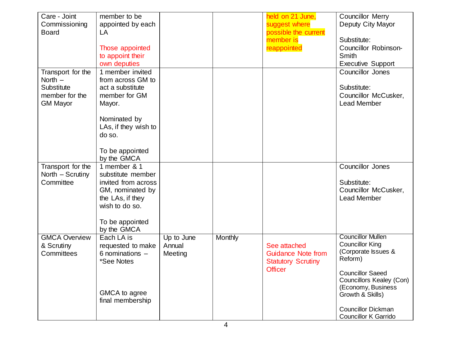| Care - Joint<br>Commissioning<br><b>Board</b>                                     | member to be<br>appointed by each<br>LA<br>Those appointed<br>to appoint their<br>own deputies                                                                           |                                 |         | held on 21 June,<br>suggest where<br>possible the current<br>member is<br>reappointed    | <b>Councillor Merry</b><br>Deputy City Mayor<br>Substitute:<br>Councillor Robinson-<br>Smith<br><b>Executive Support</b>                                                                                                                                 |
|-----------------------------------------------------------------------------------|--------------------------------------------------------------------------------------------------------------------------------------------------------------------------|---------------------------------|---------|------------------------------------------------------------------------------------------|----------------------------------------------------------------------------------------------------------------------------------------------------------------------------------------------------------------------------------------------------------|
| Transport for the<br>North $-$<br>Substitute<br>member for the<br><b>GM Mayor</b> | 1 member invited<br>from across GM to<br>act a substitute<br>member for GM<br>Mayor.<br>Nominated by<br>LAs, if they wish to<br>do so.<br>To be appointed<br>by the GMCA |                                 |         |                                                                                          | Councillor Jones<br>Substitute:<br>Councillor McCusker,<br><b>Lead Member</b>                                                                                                                                                                            |
| Transport for the<br>North - Scrutiny<br>Committee                                | 1 member & 1<br>substitute member<br>invited from across<br>GM, nominated by<br>the LAs, if they<br>wish to do so.<br>To be appointed<br>by the GMCA                     |                                 |         |                                                                                          | Councillor Jones<br>Substitute:<br>Councillor McCusker,<br><b>Lead Member</b>                                                                                                                                                                            |
| <b>GMCA Overview</b><br>& Scrutiny<br>Committees                                  | Each LA is<br>requested to make<br>6 nominations $-$<br>*See Notes<br>GMCA to agree<br>final membership                                                                  | Up to June<br>Annual<br>Meeting | Monthly | See attached<br><b>Guidance Note from</b><br><b>Statutory Scrutiny</b><br><b>Officer</b> | <b>Councillor Mullen</b><br><b>Councillor King</b><br>(Corporate Issues &<br>Reform)<br><b>Councillor Saeed</b><br><b>Councillors Kealey (Con)</b><br>(Economy, Business<br>Growth & Skills)<br><b>Councillor Dickman</b><br><b>Councillor K Garrido</b> |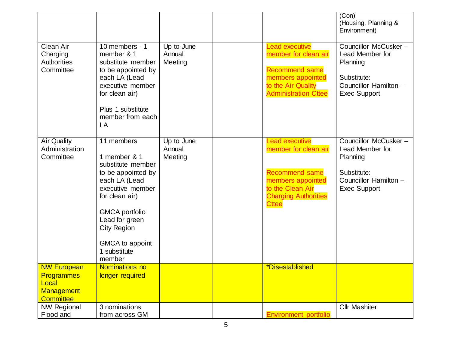|                                                                                           |                                                                                                                                                                                                                                            |                                 |                                                                                                                                                                | (Con)<br>(Housing, Planning &<br>Environment)                                                                      |
|-------------------------------------------------------------------------------------------|--------------------------------------------------------------------------------------------------------------------------------------------------------------------------------------------------------------------------------------------|---------------------------------|----------------------------------------------------------------------------------------------------------------------------------------------------------------|--------------------------------------------------------------------------------------------------------------------|
| Clean Air<br>Charging<br><b>Authorities</b><br>Committee                                  | 10 members - 1<br>member & 1<br>substitute member<br>to be appointed by<br>each LA (Lead<br>executive member<br>for clean air)<br>Plus 1 substitute<br>member from each<br>LA                                                              | Up to June<br>Annual<br>Meeting | <b>Lead executive</b><br>member for clean air<br><b>Recommend same</b><br>members appointed<br>to the Air Quality<br><b>Administration Cttee</b>               | Councillor McCusker-<br>Lead Member for<br>Planning<br>Substitute:<br>Councillor Hamilton -<br><b>Exec Support</b> |
| <b>Air Quality</b><br>Administration<br>Committee                                         | 11 members<br>1 member & 1<br>substitute member<br>to be appointed by<br>each LA (Lead<br>executive member<br>for clean air)<br><b>GMCA</b> portfolio<br>Lead for green<br><b>City Region</b><br>GMCA to appoint<br>1 substitute<br>member | Up to June<br>Annual<br>Meeting | <b>Lead executive</b><br>member for clean air<br><b>Recommend same</b><br>members appointed<br>to the Clean Air<br><b>Charging Authorities</b><br><b>Cttee</b> | Councillor McCusker-<br>Lead Member for<br>Planning<br>Substitute:<br>Councillor Hamilton -<br><b>Exec Support</b> |
| <b>NW European</b><br><b>Programmes</b><br>Local<br><b>Management</b><br><b>Committee</b> | Nominations no<br>longer required                                                                                                                                                                                                          |                                 | *Disestablished                                                                                                                                                |                                                                                                                    |
| <b>NW Regional</b><br>Flood and                                                           | 3 nominations<br>from across GM                                                                                                                                                                                                            |                                 | <b>Environment portfolio</b>                                                                                                                                   | <b>Cllr Mashiter</b>                                                                                               |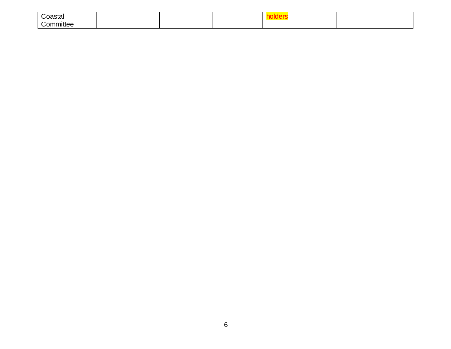| Coastal                               |  |  |  |
|---------------------------------------|--|--|--|
| $\sim$<br>$\sim$ mm $\sim$<br>nmittee |  |  |  |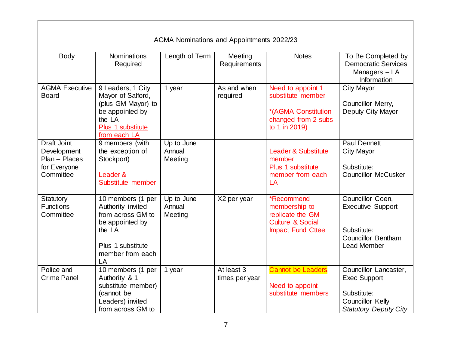| AGMA Nominations and Appointments 2022/23                                       |                                                                                                                                         |                                 |                              |                                                                                                       |                                                                                                                        |  |  |
|---------------------------------------------------------------------------------|-----------------------------------------------------------------------------------------------------------------------------------------|---------------------------------|------------------------------|-------------------------------------------------------------------------------------------------------|------------------------------------------------------------------------------------------------------------------------|--|--|
| <b>Body</b>                                                                     | <b>Nominations</b><br>Required                                                                                                          | Length of Term                  | Meeting<br>Requirements      | <b>Notes</b>                                                                                          | To Be Completed by<br><b>Democratic Services</b><br>Managers - LA<br>Information                                       |  |  |
| <b>AGMA Executive</b><br><b>Board</b>                                           | 9 Leaders, 1 City<br>Mayor of Salford,<br>(plus GM Mayor) to<br>be appointed by<br>the LA<br>Plus 1 substitute<br>from each LA          | 1 year                          | As and when<br>required      | Need to appoint 1<br>substitute member<br>*(AGMA Constitution<br>changed from 2 subs<br>to 1 in 2019) | <b>City Mayor</b><br>Councillor Merry,<br>Deputy City Mayor                                                            |  |  |
| <b>Draft Joint</b><br>Development<br>Plan - Places<br>for Everyone<br>Committee | 9 members (with<br>the exception of<br>Stockport)<br>Leader &<br>Substitute member                                                      | Up to June<br>Annual<br>Meeting |                              | <b>Leader &amp; Substitute</b><br>member<br>Plus 1 substitute<br>member from each<br>LA               | <b>Paul Dennett</b><br><b>City Mayor</b><br>Substitute:<br><b>Councillor McCusker</b>                                  |  |  |
| Statutory<br><b>Functions</b><br>Committee                                      | 10 members (1 per<br>Authority invited<br>from across GM to<br>be appointed by<br>the LA<br>Plus 1 substitute<br>member from each<br>LA | Up to June<br>Annual<br>Meeting | X2 per year                  | *Recommend<br>membership to<br>replicate the GM<br>Culture & Social<br><b>Impact Fund Cttee</b>       | Councillor Coen,<br><b>Executive Support</b><br>Substitute:<br><b>Councillor Bentham</b><br><b>Lead Member</b>         |  |  |
| Police and<br><b>Crime Panel</b>                                                | 10 members (1 per<br>Authority & 1<br>substitute member)<br>(cannot be<br>Leaders) invited<br>from across GM to                         | 1 year                          | At least 3<br>times per year | <b>Cannot be Leaders</b><br>Need to appoint<br>substitute members                                     | Councillor Lancaster,<br><b>Exec Support</b><br>Substitute:<br><b>Councillor Kelly</b><br><b>Statutory Deputy City</b> |  |  |

 $\mathbf{I}$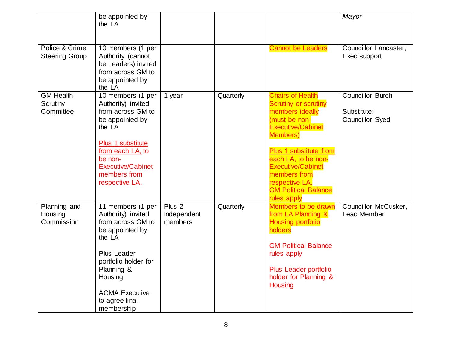|                                           | be appointed by<br>the LA                                                                                                                                                                                          |                                             |           |                                                                                                                                                                                                                                                                                                         | Mayor                                                            |
|-------------------------------------------|--------------------------------------------------------------------------------------------------------------------------------------------------------------------------------------------------------------------|---------------------------------------------|-----------|---------------------------------------------------------------------------------------------------------------------------------------------------------------------------------------------------------------------------------------------------------------------------------------------------------|------------------------------------------------------------------|
| Police & Crime<br><b>Steering Group</b>   | $\overline{10}$ members (1 per<br>Authority (cannot<br>be Leaders) invited<br>from across GM to<br>be appointed by<br>the LA                                                                                       |                                             |           | <b>Cannot be Leaders</b>                                                                                                                                                                                                                                                                                | Councillor Lancaster,<br>Exec support                            |
| <b>GM Health</b><br>Scrutiny<br>Committee | 10 members (1 per<br>Authority) invited<br>from across GM to<br>be appointed by<br>the LA<br>Plus 1 substitute<br>from each LA, to<br>be non-<br><b>Executive/Cabinet</b><br>members from<br>respective LA.        | 1 year                                      | Quarterly | <b>Chairs of Health</b><br><b>Scrutiny or scrutiny</b><br>members ideally<br>(must be non-<br><b>Executive/Cabinet</b><br><b>Members</b> )<br>Plus 1 substitute from<br>each LA, to be non-<br><b>Executive/Cabinet</b><br>members from<br>respective LA.<br><b>GM Political Balance</b><br>rules apply | <b>Councillor Burch</b><br>Substitute:<br><b>Councillor Syed</b> |
| Planning and<br>Housing<br>Commission     | 11 members (1 per<br>Authority) invited<br>from across GM to<br>be appointed by<br>the LA<br>Plus Leader<br>portfolio holder for<br>Planning &<br>Housing<br><b>AGMA Executive</b><br>to agree final<br>membership | Plus <sub>2</sub><br>Independent<br>members | Quarterly | <b>Members to be drawn</b><br>from LA Planning &<br><b>Housing portfolio</b><br>holders<br><b>GM Political Balance</b><br>rules apply<br>Plus Leader portfolio<br>holder for Planning &<br>Housing                                                                                                      | Councillor McCusker,<br>Lead Member                              |